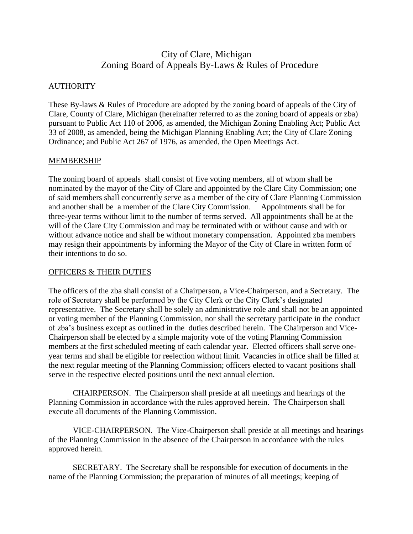# City of Clare, Michigan Zoning Board of Appeals By-Laws & Rules of Procedure

### **AUTHORITY**

These By-laws & Rules of Procedure are adopted by the zoning board of appeals of the City of Clare, County of Clare, Michigan (hereinafter referred to as the zoning board of appeals or zba) pursuant to Public Act 110 of 2006, as amended, the Michigan Zoning Enabling Act; Public Act 33 of 2008, as amended, being the Michigan Planning Enabling Act; the City of Clare Zoning Ordinance; and Public Act 267 of 1976, as amended, the Open Meetings Act.

#### MEMBERSHIP

The zoning board of appeals shall consist of five voting members, all of whom shall be nominated by the mayor of the City of Clare and appointed by the Clare City Commission; one of said members shall concurrently serve as a member of the city of Clare Planning Commission and another shall be a member of the Clare City Commission. Appointments shall be for three-year terms without limit to the number of terms served. All appointments shall be at the will of the Clare City Commission and may be terminated with or without cause and with or without advance notice and shall be without monetary compensation. Appointed zba members may resign their appointments by informing the Mayor of the City of Clare in written form of their intentions to do so.

## OFFICERS & THEIR DUTIES

The officers of the zba shall consist of a Chairperson, a Vice-Chairperson, and a Secretary. The role of Secretary shall be performed by the City Clerk or the City Clerk's designated representative. The Secretary shall be solely an administrative role and shall not be an appointed or voting member of the Planning Commission, nor shall the secretary participate in the conduct of zba's business except as outlined in the duties described herein. The Chairperson and Vice-Chairperson shall be elected by a simple majority vote of the voting Planning Commission members at the first scheduled meeting of each calendar year. Elected officers shall serve oneyear terms and shall be eligible for reelection without limit. Vacancies in office shall be filled at the next regular meeting of the Planning Commission; officers elected to vacant positions shall serve in the respective elected positions until the next annual election.

CHAIRPERSON. The Chairperson shall preside at all meetings and hearings of the Planning Commission in accordance with the rules approved herein. The Chairperson shall execute all documents of the Planning Commission.

VICE-CHAIRPERSON. The Vice-Chairperson shall preside at all meetings and hearings of the Planning Commission in the absence of the Chairperson in accordance with the rules approved herein.

SECRETARY. The Secretary shall be responsible for execution of documents in the name of the Planning Commission; the preparation of minutes of all meetings; keeping of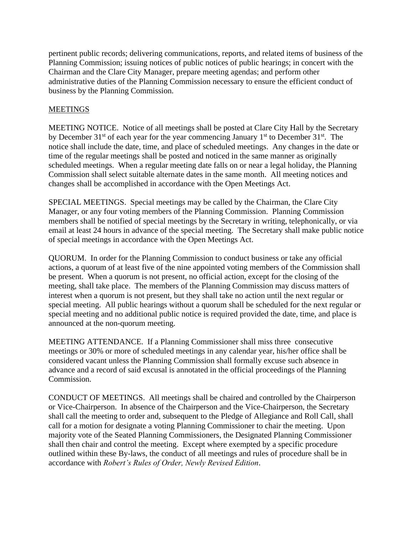pertinent public records; delivering communications, reports, and related items of business of the Planning Commission; issuing notices of public notices of public hearings; in concert with the Chairman and the Clare City Manager, prepare meeting agendas; and perform other administrative duties of the Planning Commission necessary to ensure the efficient conduct of business by the Planning Commission.

# MEETINGS

MEETING NOTICE. Notice of all meetings shall be posted at Clare City Hall by the Secretary by December  $31<sup>st</sup>$  of each year for the year commencing January  $1<sup>st</sup>$  to December  $31<sup>st</sup>$ . The notice shall include the date, time, and place of scheduled meetings. Any changes in the date or time of the regular meetings shall be posted and noticed in the same manner as originally scheduled meetings. When a regular meeting date falls on or near a legal holiday, the Planning Commission shall select suitable alternate dates in the same month. All meeting notices and changes shall be accomplished in accordance with the Open Meetings Act.

SPECIAL MEETINGS. Special meetings may be called by the Chairman, the Clare City Manager, or any four voting members of the Planning Commission. Planning Commission members shall be notified of special meetings by the Secretary in writing, telephonically, or via email at least 24 hours in advance of the special meeting. The Secretary shall make public notice of special meetings in accordance with the Open Meetings Act.

QUORUM. In order for the Planning Commission to conduct business or take any official actions, a quorum of at least five of the nine appointed voting members of the Commission shall be present. When a quorum is not present, no official action, except for the closing of the meeting, shall take place. The members of the Planning Commission may discuss matters of interest when a quorum is not present, but they shall take no action until the next regular or special meeting. All public hearings without a quorum shall be scheduled for the next regular or special meeting and no additional public notice is required provided the date, time, and place is announced at the non-quorum meeting.

MEETING ATTENDANCE. If a Planning Commissioner shall miss three consecutive meetings or 30% or more of scheduled meetings in any calendar year, his/her office shall be considered vacant unless the Planning Commission shall formally excuse such absence in advance and a record of said excusal is annotated in the official proceedings of the Planning Commission.

CONDUCT OF MEETINGS. All meetings shall be chaired and controlled by the Chairperson or Vice-Chairperson. In absence of the Chairperson and the Vice-Chairperson, the Secretary shall call the meeting to order and, subsequent to the Pledge of Allegiance and Roll Call, shall call for a motion for designate a voting Planning Commissioner to chair the meeting. Upon majority vote of the Seated Planning Commissioners, the Designated Planning Commissioner shall then chair and control the meeting. Except where exempted by a specific procedure outlined within these By-laws, the conduct of all meetings and rules of procedure shall be in accordance with *Robert's Rules of Order, Newly Revised Edition*.